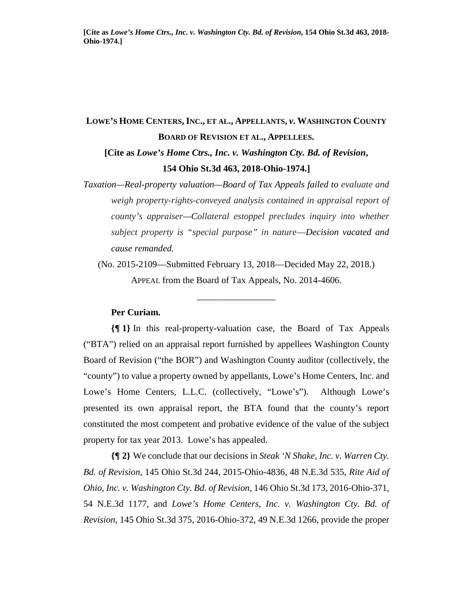# **LOWE'S HOME CENTERS, INC., ET AL., APPELLANTS,** *v***. WASHINGTON COUNTY BOARD OF REVISION ET AL., APPELLEES. [Cite as** *Lowe's Home Ctrs., Inc. v. Washington Cty. Bd. of Revision***, 154 Ohio St.3d 463, 2018-Ohio-1974.]**

*Taxation—Real-property valuation—Board of Tax Appeals failed to evaluate and weigh property-rights-conveyed analysis contained in appraisal report of county's appraiser—Collateral estoppel precludes inquiry into whether subject property is "special purpose" in nature*—*Decision vacated and cause remanded.* 

(No. 2015-2109—Submitted February 13, 2018—Decided May 22, 2018.) APPEAL from the Board of Tax Appeals, No. 2014-4606.

\_\_\_\_\_\_\_\_\_\_\_\_\_\_\_\_\_

## **Per Curiam.**

**{¶ 1}** In this real-property-valuation case, the Board of Tax Appeals ("BTA") relied on an appraisal report furnished by appellees Washington County Board of Revision ("the BOR") and Washington County auditor (collectively, the "county") to value a property owned by appellants, Lowe's Home Centers, Inc. and Lowe's Home Centers, L.L.C. (collectively, "Lowe's"). Although Lowe's presented its own appraisal report, the BTA found that the county's report constituted the most competent and probative evidence of the value of the subject property for tax year 2013. Lowe's has appealed.

**{¶ 2}** We conclude that our decisions in *Steak 'N Shake, Inc. v. Warren Cty. Bd. of Revision*, 145 Ohio St.3d 244, 2015-Ohio-4836, 48 N.E.3d 535, *Rite Aid of Ohio, Inc. v. Washington Cty. Bd. of Revision*, 146 Ohio St.3d 173, 2016-Ohio-371, 54 N.E.3d 1177, and *Lowe's Home Centers, Inc. v. Washington Cty. Bd. of Revision*, 145 Ohio St.3d 375, 2016-Ohio-372, 49 N.E.3d 1266, provide the proper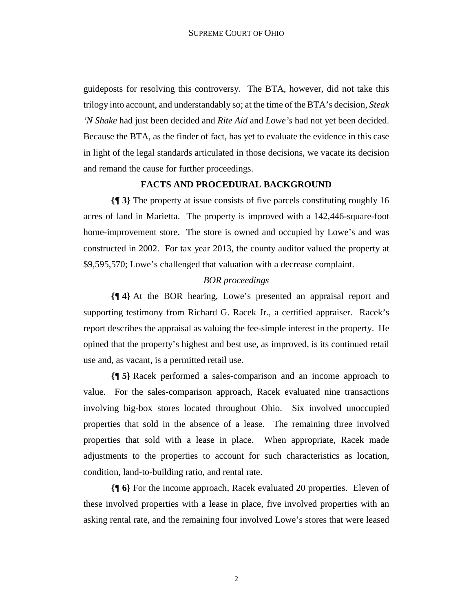guideposts for resolving this controversy. The BTA, however, did not take this trilogy into account, and understandably so; at the time of the BTA's decision, *Steak 'N Shake* had just been decided and *Rite Aid* and *Lowe's* had not yet been decided. Because the BTA, as the finder of fact, has yet to evaluate the evidence in this case in light of the legal standards articulated in those decisions, we vacate its decision and remand the cause for further proceedings.

## **FACTS AND PROCEDURAL BACKGROUND**

**{¶ 3}** The property at issue consists of five parcels constituting roughly 16 acres of land in Marietta. The property is improved with a 142,446-square-foot home-improvement store. The store is owned and occupied by Lowe's and was constructed in 2002. For tax year 2013, the county auditor valued the property at \$9,595,570; Lowe's challenged that valuation with a decrease complaint.

## *BOR proceedings*

**{¶ 4}** At the BOR hearing, Lowe's presented an appraisal report and supporting testimony from Richard G. Racek Jr., a certified appraiser. Racek's report describes the appraisal as valuing the fee-simple interest in the property. He opined that the property's highest and best use, as improved, is its continued retail use and, as vacant, is a permitted retail use.

**{¶ 5}** Racek performed a sales-comparison and an income approach to value. For the sales-comparison approach, Racek evaluated nine transactions involving big-box stores located throughout Ohio. Six involved unoccupied properties that sold in the absence of a lease. The remaining three involved properties that sold with a lease in place. When appropriate, Racek made adjustments to the properties to account for such characteristics as location, condition, land-to-building ratio, and rental rate.

**{¶ 6}** For the income approach, Racek evaluated 20 properties. Eleven of these involved properties with a lease in place, five involved properties with an asking rental rate, and the remaining four involved Lowe's stores that were leased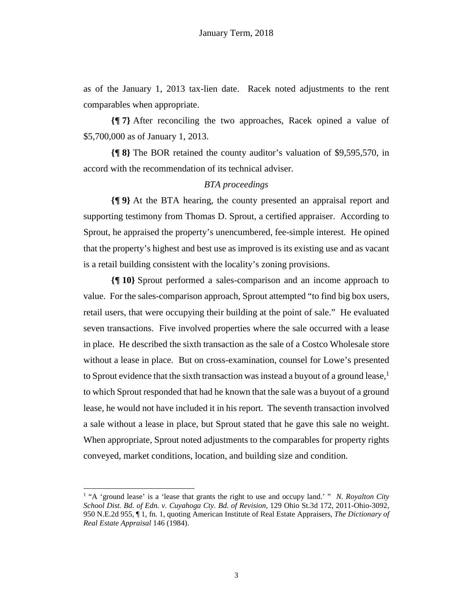as of the January 1, 2013 tax-lien date. Racek noted adjustments to the rent comparables when appropriate.

**{¶ 7}** After reconciling the two approaches, Racek opined a value of \$5,700,000 as of January 1, 2013.

**{¶ 8}** The BOR retained the county auditor's valuation of \$9,595,570, in accord with the recommendation of its technical adviser.

## *BTA proceedings*

**{¶ 9}** At the BTA hearing, the county presented an appraisal report and supporting testimony from Thomas D. Sprout, a certified appraiser. According to Sprout, he appraised the property's unencumbered, fee-simple interest. He opined that the property's highest and best use as improved is its existing use and as vacant is a retail building consistent with the locality's zoning provisions.

**{¶ 10}** Sprout performed a sales-comparison and an income approach to value. For the sales-comparison approach, Sprout attempted "to find big box users, retail users, that were occupying their building at the point of sale." He evaluated seven transactions. Five involved properties where the sale occurred with a lease in place. He described the sixth transaction as the sale of a Costco Wholesale store without a lease in place. But on cross-examination, counsel for Lowe's presented to Sprout evidence that the sixth transaction was instead a buyout of a ground lease,<sup>1</sup> to which Sprout responded that had he known that the sale was a buyout of a ground lease, he would not have included it in his report. The seventh transaction involved a sale without a lease in place, but Sprout stated that he gave this sale no weight. When appropriate, Sprout noted adjustments to the comparables for property rights conveyed, market conditions, location, and building size and condition.

 $\overline{a}$ 

<sup>&</sup>lt;sup>1</sup> "A 'ground lease' is a 'lease that grants the right to use and occupy land.' " *N. Royalton City School Dist. Bd. of Edn. v. Cuyahoga Cty. Bd. of Revision*, 129 Ohio St.3d 172, 2011-Ohio-3092, 950 N.E.2d 955, ¶ 1, fn. 1, quoting American Institute of Real Estate Appraisers, *The Dictionary of Real Estate Appraisal* 146 (1984).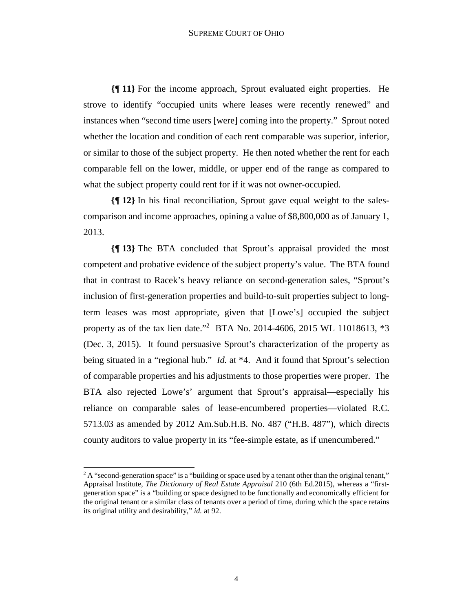**{¶ 11}** For the income approach, Sprout evaluated eight properties. He strove to identify "occupied units where leases were recently renewed" and instances when "second time users [were] coming into the property." Sprout noted whether the location and condition of each rent comparable was superior, inferior, or similar to those of the subject property. He then noted whether the rent for each comparable fell on the lower, middle, or upper end of the range as compared to what the subject property could rent for if it was not owner-occupied.

**{¶ 12}** In his final reconciliation, Sprout gave equal weight to the salescomparison and income approaches, opining a value of \$8,800,000 as of January 1, 2013.

**{¶ 13}** The BTA concluded that Sprout's appraisal provided the most competent and probative evidence of the subject property's value. The BTA found that in contrast to Racek's heavy reliance on second-generation sales, "Sprout's inclusion of first-generation properties and build-to-suit properties subject to longterm leases was most appropriate, given that [Lowe's] occupied the subject property as of the tax lien date."<sup>2</sup> BTA No. 2014-4606, 2015 WL 11018613, \*3 (Dec. 3, 2015). It found persuasive Sprout's characterization of the property as being situated in a "regional hub." *Id.* at \*4. And it found that Sprout's selection of comparable properties and his adjustments to those properties were proper. The BTA also rejected Lowe's' argument that Sprout's appraisal—especially his reliance on comparable sales of lease-encumbered properties—violated R.C. 5713.03 as amended by 2012 Am.Sub.H.B. No. 487 ("H.B. 487"), which directs county auditors to value property in its "fee-simple estate, as if unencumbered."

 $2A$  "second-generation space" is a "building or space used by a tenant other than the original tenant," Appraisal Institute, *The Dictionary of Real Estate Appraisal* 210 (6th Ed.2015), whereas a "firstgeneration space" is a "building or space designed to be functionally and economically efficient for the original tenant or a similar class of tenants over a period of time, during which the space retains its original utility and desirability," *id.* at 92.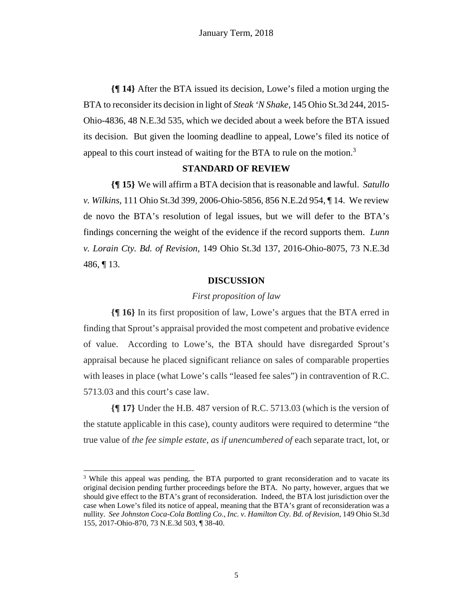**{¶ 14}** After the BTA issued its decision, Lowe's filed a motion urging the BTA to reconsider its decision in light of *Steak 'N Shake*, 145 Ohio St.3d 244, 2015- Ohio-4836, 48 N.E.3d 535, which we decided about a week before the BTA issued its decision. But given the looming deadline to appeal, Lowe's filed its notice of appeal to this court instead of waiting for the BTA to rule on the motion.<sup>3</sup>

#### **STANDARD OF REVIEW**

**{¶ 15}** We will affirm a BTA decision that is reasonable and lawful. *Satullo v. Wilkins*, 111 Ohio St.3d 399, 2006-Ohio-5856, 856 N.E.2d 954, ¶ 14. We review de novo the BTA's resolution of legal issues, but we will defer to the BTA's findings concerning the weight of the evidence if the record supports them. *Lunn v. Lorain Cty. Bd. of Revision*, 149 Ohio St.3d 137, 2016-Ohio-8075, 73 N.E.3d 486, ¶ 13.

## **DISCUSSION**

#### *First proposition of law*

**{¶ 16}** In its first proposition of law, Lowe's argues that the BTA erred in finding that Sprout's appraisal provided the most competent and probative evidence of value. According to Lowe's, the BTA should have disregarded Sprout's appraisal because he placed significant reliance on sales of comparable properties with leases in place (what Lowe's calls "leased fee sales") in contravention of R.C. 5713.03 and this court's case law.

**{¶ 17}** Under the H.B. 487 version of R.C. 5713.03 (which is the version of the statute applicable in this case), county auditors were required to determine "the true value of *the fee simple estate, as if unencumbered of* each separate tract, lot, or

<sup>&</sup>lt;sup>3</sup> While this appeal was pending, the BTA purported to grant reconsideration and to vacate its original decision pending further proceedings before the BTA. No party, however, argues that we should give effect to the BTA's grant of reconsideration. Indeed, the BTA lost jurisdiction over the case when Lowe's filed its notice of appeal, meaning that the BTA's grant of reconsideration was a nullity. *See Johnston Coca-Cola Bottling Co., Inc. v. Hamilton Cty. Bd. of Revision*, 149 Ohio St.3d 155, 2017-Ohio-870, 73 N.E.3d 503, ¶ 38-40.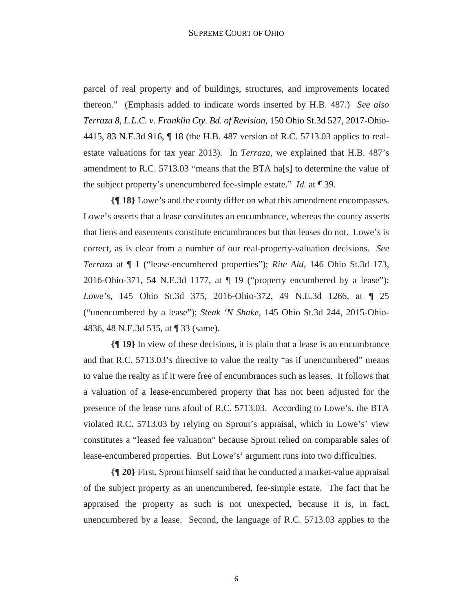parcel of real property and of buildings, structures, and improvements located thereon." (Emphasis added to indicate words inserted by H.B. 487.) *See also Terraza 8, L.L.C. v. Franklin Cty. Bd. of Revision*, 150 Ohio St.3d 527, 2017-Ohio-4415, 83 N.E.3d 916, ¶ 18 (the H.B. 487 version of R.C. 5713.03 applies to realestate valuations for tax year 2013). In *Terraza*, we explained that H.B. 487's amendment to R.C. 5713.03 "means that the BTA ha[s] to determine the value of the subject property's unencumbered fee-simple estate." *Id.* at ¶ 39.

**{¶ 18}** Lowe's and the county differ on what this amendment encompasses. Lowe's asserts that a lease constitutes an encumbrance, whereas the county asserts that liens and easements constitute encumbrances but that leases do not. Lowe's is correct, as is clear from a number of our real-property-valuation decisions. *See Terraza* at ¶ 1 ("lease-encumbered properties"); *Rite Aid*, 146 Ohio St.3d 173, 2016-Ohio-371, 54 N.E.3d 1177, at  $\P$  19 ("property encumbered by a lease"); *Lowe's*, 145 Ohio St.3d 375, 2016-Ohio-372, 49 N.E.3d 1266, at ¶ 25 ("unencumbered by a lease"); *Steak 'N Shake*, 145 Ohio St.3d 244, 2015-Ohio-4836, 48 N.E.3d 535, at ¶ 33 (same).

**{¶ 19}** In view of these decisions, it is plain that a lease is an encumbrance and that R.C. 5713.03's directive to value the realty "as if unencumbered" means to value the realty as if it were free of encumbrances such as leases. It follows that a valuation of a lease-encumbered property that has not been adjusted for the presence of the lease runs afoul of R.C. 5713.03. According to Lowe's, the BTA violated R.C. 5713.03 by relying on Sprout's appraisal, which in Lowe's' view constitutes a "leased fee valuation" because Sprout relied on comparable sales of lease-encumbered properties. But Lowe's' argument runs into two difficulties.

**{¶ 20}** First, Sprout himself said that he conducted a market-value appraisal of the subject property as an unencumbered, fee-simple estate. The fact that he appraised the property as such is not unexpected, because it is, in fact, unencumbered by a lease. Second, the language of R.C. 5713.03 applies to the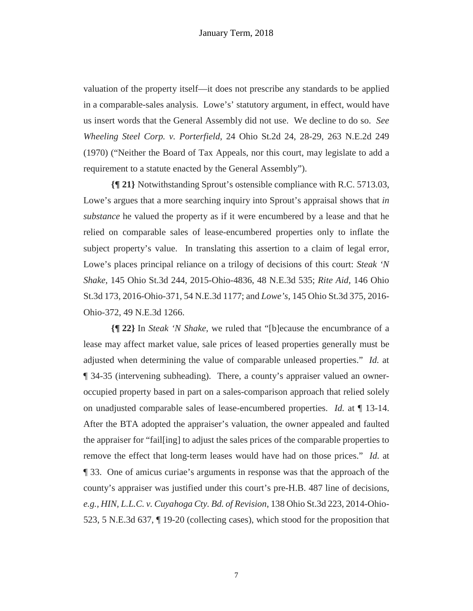valuation of the property itself—it does not prescribe any standards to be applied in a comparable-sales analysis. Lowe's' statutory argument, in effect, would have us insert words that the General Assembly did not use. We decline to do so. *See Wheeling Steel Corp. v. Porterfield*, 24 Ohio St.2d 24, 28-29, 263 N.E.2d 249 (1970) ("Neither the Board of Tax Appeals, nor this court, may legislate to add a requirement to a statute enacted by the General Assembly").

**{¶ 21}** Notwithstanding Sprout's ostensible compliance with R.C. 5713.03, Lowe's argues that a more searching inquiry into Sprout's appraisal shows that *in substance* he valued the property as if it were encumbered by a lease and that he relied on comparable sales of lease-encumbered properties only to inflate the subject property's value. In translating this assertion to a claim of legal error, Lowe's places principal reliance on a trilogy of decisions of this court: *Steak 'N Shake*, 145 Ohio St.3d 244, 2015-Ohio-4836, 48 N.E.3d 535; *Rite Aid*, 146 Ohio St.3d 173, 2016-Ohio-371, 54 N.E.3d 1177; and *Lowe's*, 145 Ohio St.3d 375, 2016- Ohio-372, 49 N.E.3d 1266.

**{¶ 22}** In *Steak 'N Shake*, we ruled that "[b]ecause the encumbrance of a lease may affect market value, sale prices of leased properties generally must be adjusted when determining the value of comparable unleased properties." *Id.* at ¶ 34-35 (intervening subheading). There, a county's appraiser valued an owneroccupied property based in part on a sales-comparison approach that relied solely on unadjusted comparable sales of lease-encumbered properties. *Id.* at ¶ 13-14. After the BTA adopted the appraiser's valuation, the owner appealed and faulted the appraiser for "fail[ing] to adjust the sales prices of the comparable properties to remove the effect that long-term leases would have had on those prices." *Id.* at ¶ 33. One of amicus curiae's arguments in response was that the approach of the county's appraiser was justified under this court's pre-H.B. 487 line of decisions, *e.g., HIN, L.L.C. v. Cuyahoga Cty. Bd. of Revision*, 138 Ohio St.3d 223, 2014-Ohio-523, 5 N.E.3d 637, ¶ 19-20 (collecting cases), which stood for the proposition that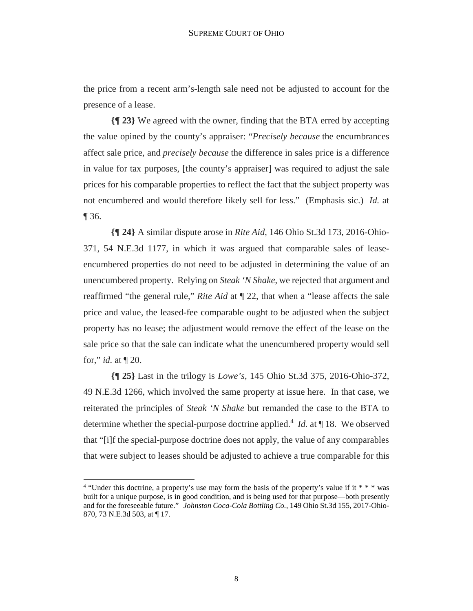the price from a recent arm's-length sale need not be adjusted to account for the presence of a lease.

**{¶ 23}** We agreed with the owner, finding that the BTA erred by accepting the value opined by the county's appraiser: "*Precisely because* the encumbrances affect sale price, and *precisely because* the difference in sales price is a difference in value for tax purposes, [the county's appraiser] was required to adjust the sale prices for his comparable properties to reflect the fact that the subject property was not encumbered and would therefore likely sell for less." (Emphasis sic.) *Id.* at ¶ 36.

**{¶ 24}** A similar dispute arose in *Rite Aid*, 146 Ohio St.3d 173, 2016-Ohio-371, 54 N.E.3d 1177, in which it was argued that comparable sales of leaseencumbered properties do not need to be adjusted in determining the value of an unencumbered property. Relying on *Steak 'N Shake*, we rejected that argument and reaffirmed "the general rule," *Rite Aid* at ¶ 22, that when a "lease affects the sale price and value, the leased-fee comparable ought to be adjusted when the subject property has no lease; the adjustment would remove the effect of the lease on the sale price so that the sale can indicate what the unencumbered property would sell for," *id.* at ¶ 20.

**{¶ 25}** Last in the trilogy is *Lowe's*, 145 Ohio St.3d 375, 2016-Ohio-372, 49 N.E.3d 1266, which involved the same property at issue here. In that case, we reiterated the principles of *Steak 'N Shake* but remanded the case to the BTA to determine whether the special-purpose doctrine applied.<sup>4</sup> *Id.* at ¶ 18. We observed that "[i]f the special-purpose doctrine does not apply, the value of any comparables that were subject to leases should be adjusted to achieve a true comparable for this

<sup>&</sup>lt;sup>4</sup> "Under this doctrine, a property's use may form the basis of the property's value if it \* \* \* was built for a unique purpose, is in good condition, and is being used for that purpose—both presently and for the foreseeable future." *Johnston Coca-Cola Bottling Co.*, 149 Ohio St.3d 155, 2017-Ohio-870, 73 N.E.3d 503, at [17.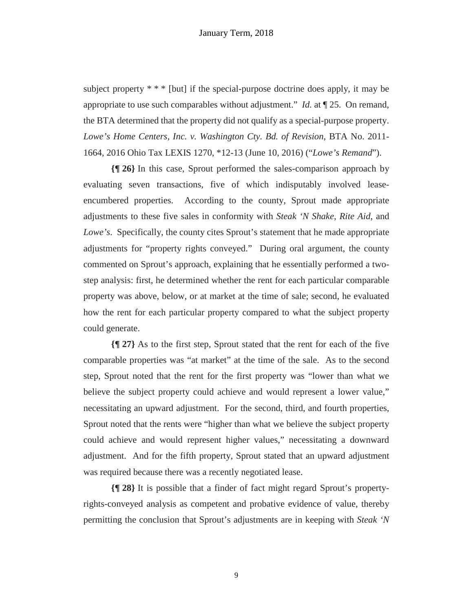## January Term, 2018

subject property  $***$  [but] if the special-purpose doctrine does apply, it may be appropriate to use such comparables without adjustment." *Id.* at ¶ 25. On remand, the BTA determined that the property did not qualify as a special-purpose property. *Lowe's Home Centers, Inc. v. Washington Cty. Bd. of Revision*, BTA No. 2011- 1664, 2016 Ohio Tax LEXIS 1270, \*12-13 (June 10, 2016) ("*Lowe's Remand*").

**{¶ 26}** In this case, Sprout performed the sales-comparison approach by evaluating seven transactions, five of which indisputably involved leaseencumbered properties. According to the county, Sprout made appropriate adjustments to these five sales in conformity with *Steak 'N Shake*, *Rite Aid*, and *Lowe's*. Specifically, the county cites Sprout's statement that he made appropriate adjustments for "property rights conveyed." During oral argument, the county commented on Sprout's approach, explaining that he essentially performed a twostep analysis: first, he determined whether the rent for each particular comparable property was above, below, or at market at the time of sale; second, he evaluated how the rent for each particular property compared to what the subject property could generate.

**{¶ 27}** As to the first step, Sprout stated that the rent for each of the five comparable properties was "at market" at the time of the sale. As to the second step, Sprout noted that the rent for the first property was "lower than what we believe the subject property could achieve and would represent a lower value," necessitating an upward adjustment. For the second, third, and fourth properties, Sprout noted that the rents were "higher than what we believe the subject property could achieve and would represent higher values," necessitating a downward adjustment. And for the fifth property, Sprout stated that an upward adjustment was required because there was a recently negotiated lease.

**{¶ 28}** It is possible that a finder of fact might regard Sprout's propertyrights-conveyed analysis as competent and probative evidence of value, thereby permitting the conclusion that Sprout's adjustments are in keeping with *Steak 'N*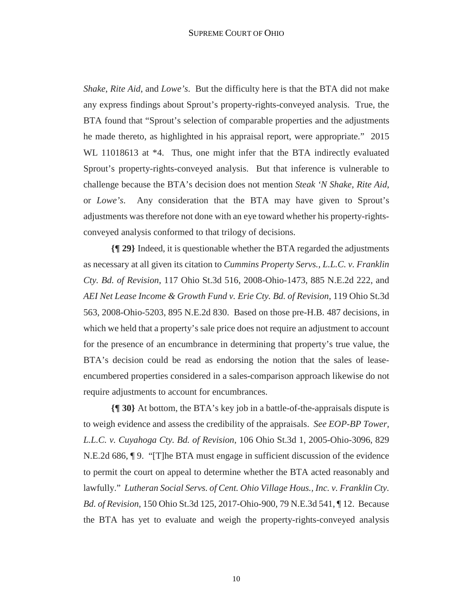*Shake*, *Rite Aid*, and *Lowe's*. But the difficulty here is that the BTA did not make any express findings about Sprout's property-rights-conveyed analysis. True, the BTA found that "Sprout's selection of comparable properties and the adjustments he made thereto, as highlighted in his appraisal report, were appropriate." 2015 WL 11018613 at  $*4$ . Thus, one might infer that the BTA indirectly evaluated Sprout's property-rights-conveyed analysis. But that inference is vulnerable to challenge because the BTA's decision does not mention *Steak 'N Shake*, *Rite Aid*, or *Lowe's*. Any consideration that the BTA may have given to Sprout's adjustments was therefore not done with an eye toward whether his property-rightsconveyed analysis conformed to that trilogy of decisions.

**{¶ 29}** Indeed, it is questionable whether the BTA regarded the adjustments as necessary at all given its citation to *Cummins Property Servs., L.L.C. v. Franklin Cty. Bd. of Revision*, 117 Ohio St.3d 516, 2008-Ohio-1473, 885 N.E.2d 222, and *AEI Net Lease Income & Growth Fund v. Erie Cty. Bd. of Revision*, 119 Ohio St.3d 563, 2008-Ohio-5203, 895 N.E.2d 830. Based on those pre-H.B. 487 decisions, in which we held that a property's sale price does not require an adjustment to account for the presence of an encumbrance in determining that property's true value, the BTA's decision could be read as endorsing the notion that the sales of leaseencumbered properties considered in a sales-comparison approach likewise do not require adjustments to account for encumbrances.

**{¶ 30}** At bottom, the BTA's key job in a battle-of-the-appraisals dispute is to weigh evidence and assess the credibility of the appraisals. *See EOP-BP Tower, L.L.C. v. Cuyahoga Cty. Bd. of Revision*, 106 Ohio St.3d 1, 2005-Ohio-3096, 829 N.E.2d 686, ¶ 9. "[T]he BTA must engage in sufficient discussion of the evidence to permit the court on appeal to determine whether the BTA acted reasonably and lawfully." *Lutheran Social Servs. of Cent. Ohio Village Hous., Inc. v. Franklin Cty. Bd. of Revision*, 150 Ohio St.3d 125, 2017-Ohio-900, 79 N.E.3d 541, ¶ 12. Because the BTA has yet to evaluate and weigh the property-rights-conveyed analysis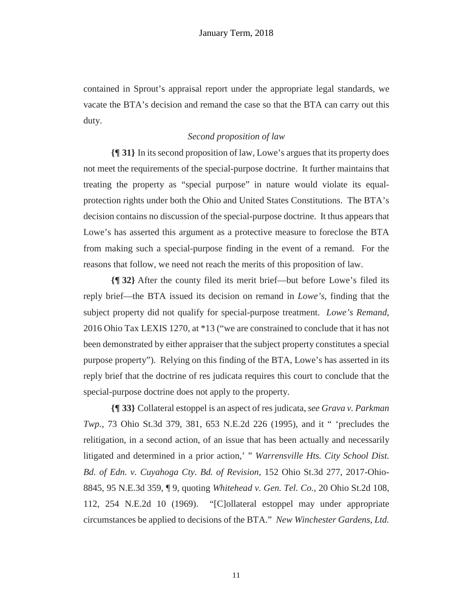contained in Sprout's appraisal report under the appropriate legal standards, we vacate the BTA's decision and remand the case so that the BTA can carry out this duty.

# *Second proposition of law*

**{¶ 31}** In its second proposition of law, Lowe's argues that its property does not meet the requirements of the special-purpose doctrine. It further maintains that treating the property as "special purpose" in nature would violate its equalprotection rights under both the Ohio and United States Constitutions. The BTA's decision contains no discussion of the special-purpose doctrine. It thus appears that Lowe's has asserted this argument as a protective measure to foreclose the BTA from making such a special-purpose finding in the event of a remand. For the reasons that follow, we need not reach the merits of this proposition of law.

**{¶ 32}** After the county filed its merit brief—but before Lowe's filed its reply brief—the BTA issued its decision on remand in *Lowe's*, finding that the subject property did not qualify for special-purpose treatment. *Lowe's Remand*, 2016 Ohio Tax LEXIS 1270, at \*13 ("we are constrained to conclude that it has not been demonstrated by either appraiser that the subject property constitutes a special purpose property"). Relying on this finding of the BTA, Lowe's has asserted in its reply brief that the doctrine of res judicata requires this court to conclude that the special-purpose doctrine does not apply to the property.

**{¶ 33}** Collateral estoppel is an aspect of res judicata, *see Grava v. Parkman Twp.*, 73 Ohio St.3d 379, 381, 653 N.E.2d 226 (1995), and it " 'precludes the relitigation, in a second action, of an issue that has been actually and necessarily litigated and determined in a prior action,' " *Warrensville Hts. City School Dist. Bd. of Edn. v. Cuyahoga Cty. Bd. of Revision*, 152 Ohio St.3d 277, 2017-Ohio-8845, 95 N.E.3d 359, ¶ 9, quoting *Whitehead v. Gen. Tel. Co.*, 20 Ohio St.2d 108, 112, 254 N.E.2d 10 (1969). "[C]ollateral estoppel may under appropriate circumstances be applied to decisions of the BTA." *New Winchester Gardens, Ltd.*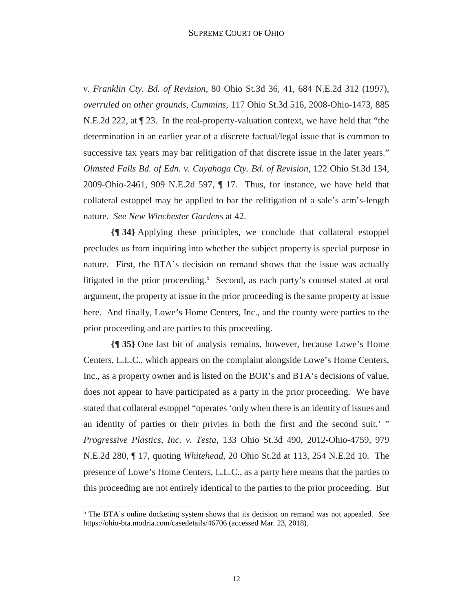*v. Franklin Cty. Bd. of Revision*, 80 Ohio St.3d 36, 41, 684 N.E.2d 312 (1997), *overruled on other grounds*, *Cummins*, 117 Ohio St.3d 516, 2008-Ohio-1473, 885 N.E.2d 222, at ¶ 23. In the real-property-valuation context, we have held that "the determination in an earlier year of a discrete factual/legal issue that is common to successive tax years may bar relitigation of that discrete issue in the later years." *Olmsted Falls Bd. of Edn. v. Cuyahoga Cty. Bd. of Revision*, 122 Ohio St.3d 134, 2009-Ohio-2461, 909 N.E.2d 597, ¶ 17. Thus, for instance, we have held that collateral estoppel may be applied to bar the relitigation of a sale's arm's-length nature. *See New Winchester Gardens* at 42.

**{¶ 34}** Applying these principles, we conclude that collateral estoppel precludes us from inquiring into whether the subject property is special purpose in nature. First, the BTA's decision on remand shows that the issue was actually litigated in the prior proceeding.<sup>5</sup> Second, as each party's counsel stated at oral argument, the property at issue in the prior proceeding is the same property at issue here. And finally, Lowe's Home Centers, Inc., and the county were parties to the prior proceeding and are parties to this proceeding.

**{¶ 35}** One last bit of analysis remains, however, because Lowe's Home Centers, L.L.C., which appears on the complaint alongside Lowe's Home Centers, Inc., as a property owner and is listed on the BOR's and BTA's decisions of value, does not appear to have participated as a party in the prior proceeding. We have stated that collateral estoppel "operates 'only when there is an identity of issues and an identity of parties or their privies in both the first and the second suit.' " *Progressive Plastics, Inc. v. Testa*, 133 Ohio St.3d 490, 2012-Ohio-4759, 979 N.E.2d 280, ¶ 17, quoting *Whitehead*, 20 Ohio St.2d at 113, 254 N.E.2d 10. The presence of Lowe's Home Centers, L.L.C., as a party here means that the parties to this proceeding are not entirely identical to the parties to the prior proceeding. But

<sup>5</sup> The BTA's online docketing system shows that its decision on remand was not appealed. *See* https://ohio-bta.modria.com/casedetails/46706 (accessed Mar. 23, 2018).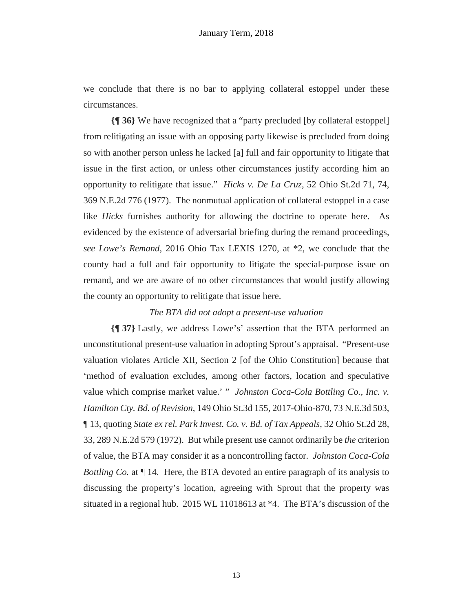we conclude that there is no bar to applying collateral estoppel under these circumstances.

**{¶ 36}** We have recognized that a "party precluded [by collateral estoppel] from relitigating an issue with an opposing party likewise is precluded from doing so with another person unless he lacked [a] full and fair opportunity to litigate that issue in the first action, or unless other circumstances justify according him an opportunity to relitigate that issue." *Hicks v. De La Cruz*, 52 Ohio St.2d 71, 74, 369 N.E.2d 776 (1977). The nonmutual application of collateral estoppel in a case like *Hicks* furnishes authority for allowing the doctrine to operate here. As evidenced by the existence of adversarial briefing during the remand proceedings, *see Lowe's Remand*, 2016 Ohio Tax LEXIS 1270, at \*2, we conclude that the county had a full and fair opportunity to litigate the special-purpose issue on remand, and we are aware of no other circumstances that would justify allowing the county an opportunity to relitigate that issue here.

## *The BTA did not adopt a present-use valuation*

**{¶ 37}** Lastly, we address Lowe's' assertion that the BTA performed an unconstitutional present-use valuation in adopting Sprout's appraisal. "Present-use valuation violates Article XII, Section 2 [of the Ohio Constitution] because that 'method of evaluation excludes, among other factors, location and speculative value which comprise market value.' " *Johnston Coca-Cola Bottling Co., Inc. v. Hamilton Cty. Bd. of Revision*, 149 Ohio St.3d 155, 2017-Ohio-870, 73 N.E.3d 503, ¶ 13, quoting *State ex rel. Park Invest. Co. v. Bd. of Tax Appeals*, 32 Ohio St.2d 28, 33, 289 N.E.2d 579 (1972). But while present use cannot ordinarily be *the* criterion of value, the BTA may consider it as a noncontrolling factor. *Johnston Coca-Cola Bottling Co.* at  $\P$  14. Here, the BTA devoted an entire paragraph of its analysis to discussing the property's location, agreeing with Sprout that the property was situated in a regional hub. 2015 WL 11018613 at \*4. The BTA's discussion of the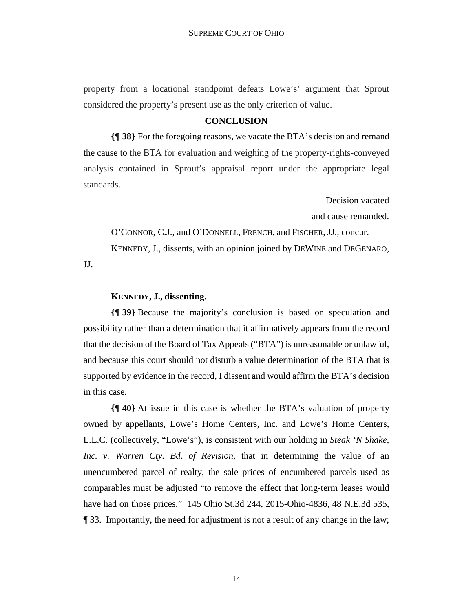property from a locational standpoint defeats Lowe's' argument that Sprout considered the property's present use as the only criterion of value.

## **CONCLUSION**

**{¶ 38}** For the foregoing reasons, we vacate the BTA's decision and remand the cause to the BTA for evaluation and weighing of the property-rights-conveyed analysis contained in Sprout's appraisal report under the appropriate legal standards.

Decision vacated

and cause remanded.

O'CONNOR, C.J., and O'DONNELL, FRENCH, and FISCHER, JJ., concur. KENNEDY, J., dissents, with an opinion joined by DEWINE and DEGENARO,

JJ.

## **KENNEDY, J., dissenting.**

**{¶ 39}** Because the majority's conclusion is based on speculation and possibility rather than a determination that it affirmatively appears from the record that the decision of the Board of Tax Appeals ("BTA") is unreasonable or unlawful, and because this court should not disturb a value determination of the BTA that is supported by evidence in the record, I dissent and would affirm the BTA's decision in this case.

\_\_\_\_\_\_\_\_\_\_\_\_\_\_\_\_\_

**{¶ 40}** At issue in this case is whether the BTA's valuation of property owned by appellants, Lowe's Home Centers, Inc. and Lowe's Home Centers, L.L.C. (collectively, "Lowe's"), is consistent with our holding in *Steak 'N Shake, Inc. v. Warren Cty. Bd. of Revision*, that in determining the value of an unencumbered parcel of realty, the sale prices of encumbered parcels used as comparables must be adjusted "to remove the effect that long-term leases would have had on those prices." 145 Ohio St.3d 244, 2015-Ohio-4836, 48 N.E.3d 535, ¶ 33. Importantly, the need for adjustment is not a result of any change in the law;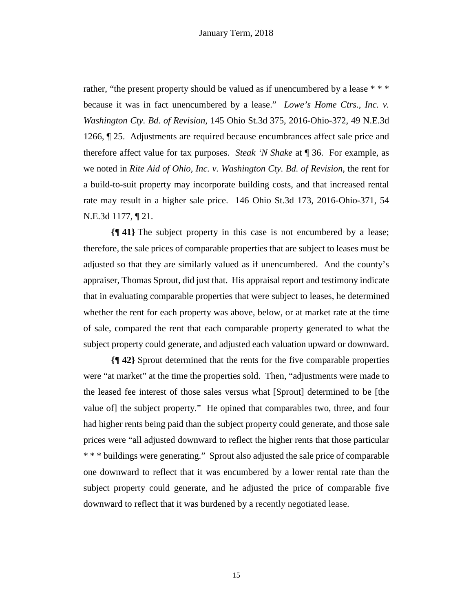rather, "the present property should be valued as if unencumbered by a lease \* \* \* because it was in fact unencumbered by a lease." *Lowe's Home Ctrs., Inc. v. Washington Cty. Bd. of Revision*, 145 Ohio St.3d 375, 2016-Ohio-372, 49 N.E.3d 1266, ¶ 25. Adjustments are required because encumbrances affect sale price and therefore affect value for tax purposes. *Steak 'N Shake* at ¶ 36. For example, as we noted in *Rite Aid of Ohio, Inc. v. Washington Cty. Bd. of Revision*, the rent for a build-to-suit property may incorporate building costs, and that increased rental rate may result in a higher sale price. 146 Ohio St.3d 173, 2016-Ohio-371, 54 N.E.3d 1177, ¶ 21.

**{¶ 41}** The subject property in this case is not encumbered by a lease; therefore, the sale prices of comparable properties that are subject to leases must be adjusted so that they are similarly valued as if unencumbered. And the county's appraiser, Thomas Sprout, did just that. His appraisal report and testimony indicate that in evaluating comparable properties that were subject to leases, he determined whether the rent for each property was above, below, or at market rate at the time of sale, compared the rent that each comparable property generated to what the subject property could generate, and adjusted each valuation upward or downward.

**{¶ 42}** Sprout determined that the rents for the five comparable properties were "at market" at the time the properties sold. Then, "adjustments were made to the leased fee interest of those sales versus what [Sprout] determined to be [the value of] the subject property." He opined that comparables two, three, and four had higher rents being paid than the subject property could generate, and those sale prices were "all adjusted downward to reflect the higher rents that those particular \* \* \* buildings were generating." Sprout also adjusted the sale price of comparable one downward to reflect that it was encumbered by a lower rental rate than the subject property could generate, and he adjusted the price of comparable five downward to reflect that it was burdened by a recently negotiated lease.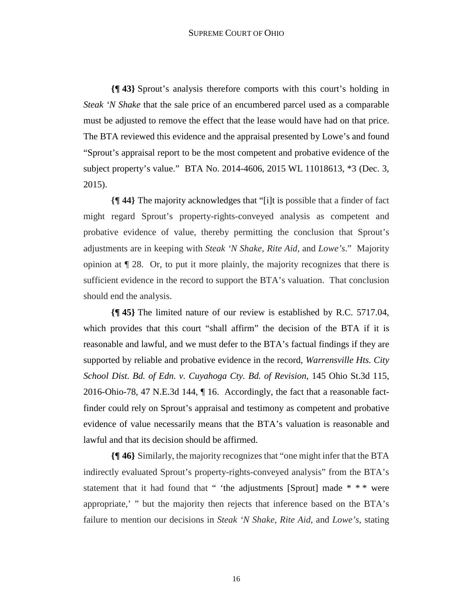**{¶ 43}** Sprout's analysis therefore comports with this court's holding in *Steak 'N Shake* that the sale price of an encumbered parcel used as a comparable must be adjusted to remove the effect that the lease would have had on that price. The BTA reviewed this evidence and the appraisal presented by Lowe's and found "Sprout's appraisal report to be the most competent and probative evidence of the subject property's value." BTA No. 2014-4606, 2015 WL 11018613, \*3 (Dec. 3, 2015).

**{¶ 44}** The majority acknowledges that "[i]t is possible that a finder of fact might regard Sprout's property-rights-conveyed analysis as competent and probative evidence of value, thereby permitting the conclusion that Sprout's adjustments are in keeping with *Steak 'N Shake*, *Rite Aid*, and *Lowe's*." Majority opinion at  $\P$  28. Or, to put it more plainly, the majority recognizes that there is sufficient evidence in the record to support the BTA's valuation. That conclusion should end the analysis.

**{¶ 45}** The limited nature of our review is established by R.C. 5717.04, which provides that this court "shall affirm" the decision of the BTA if it is reasonable and lawful, and we must defer to the BTA's factual findings if they are supported by reliable and probative evidence in the record, *Warrensville Hts. City School Dist. Bd. of Edn. v. Cuyahoga Cty. Bd. of Revision*, 145 Ohio St.3d 115, 2016-Ohio-78, 47 N.E.3d 144, ¶ 16. Accordingly, the fact that a reasonable factfinder could rely on Sprout's appraisal and testimony as competent and probative evidence of value necessarily means that the BTA's valuation is reasonable and lawful and that its decision should be affirmed.

**{¶ 46}** Similarly, the majority recognizes that "one might infer that the BTA indirectly evaluated Sprout's property-rights-conveyed analysis" from the BTA's statement that it had found that " 'the adjustments [Sprout] made  $* * *$  were appropriate,' " but the majority then rejects that inference based on the BTA's failure to mention our decisions in *Steak 'N Shake*, *Rite Aid*, and *Lowe's*, stating

16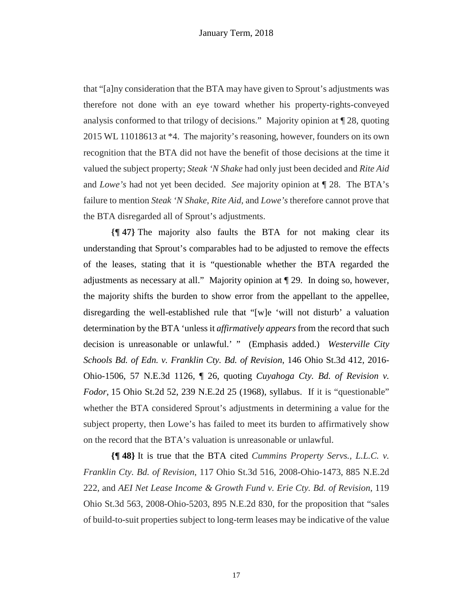that "[a]ny consideration that the BTA may have given to Sprout's adjustments was therefore not done with an eye toward whether his property-rights-conveyed analysis conformed to that trilogy of decisions." Majority opinion at ¶ 28, quoting 2015 WL 11018613 at \*4. The majority's reasoning, however, founders on its own recognition that the BTA did not have the benefit of those decisions at the time it valued the subject property; *Steak 'N Shake* had only just been decided and *Rite Aid* and *Lowe's* had not yet been decided. *See* majority opinion at ¶ 28. The BTA's failure to mention *Steak 'N Shake*, *Rite Aid*, and *Lowe's* therefore cannot prove that the BTA disregarded all of Sprout's adjustments.

**{¶ 47}** The majority also faults the BTA for not making clear its understanding that Sprout's comparables had to be adjusted to remove the effects of the leases, stating that it is "questionable whether the BTA regarded the adjustments as necessary at all." Majority opinion at ¶ 29. In doing so, however, the majority shifts the burden to show error from the appellant to the appellee, disregarding the well-established rule that "[w]e 'will not disturb' a valuation determination by the BTA 'unless it *affirmatively appears* from the record that such decision is unreasonable or unlawful.' " (Emphasis added.) *Westerville City Schools Bd. of Edn. v. Franklin Cty. Bd. of Revision*, 146 Ohio St.3d 412, 2016- Ohio-1506, 57 N.E.3d 1126, ¶ 26, quoting *Cuyahoga Cty. Bd. of Revision v. Fodor*, 15 Ohio St.2d 52, 239 N.E.2d 25 (1968), syllabus. If it is "questionable" whether the BTA considered Sprout's adjustments in determining a value for the subject property, then Lowe's has failed to meet its burden to affirmatively show on the record that the BTA's valuation is unreasonable or unlawful.

**{¶ 48}** It is true that the BTA cited *Cummins Property Servs., L.L.C. v. Franklin Cty. Bd. of Revision*, 117 Ohio St.3d 516, 2008-Ohio-1473, 885 N.E.2d 222, and *AEI Net Lease Income & Growth Fund v. Erie Cty. Bd. of Revision*, 119 Ohio St.3d 563, 2008-Ohio-5203, 895 N.E.2d 830, for the proposition that "sales of build-to-suit properties subject to long-term leases may be indicative of the value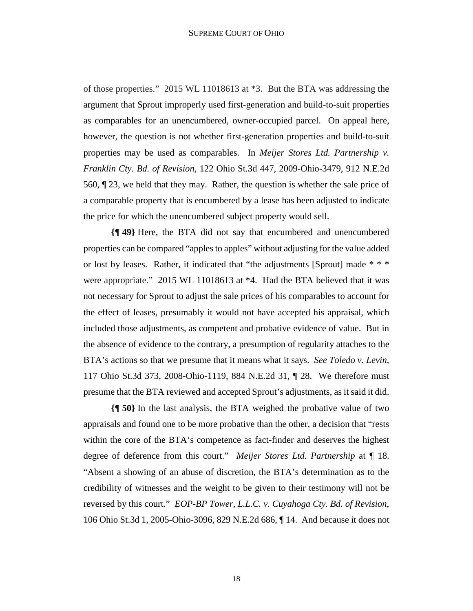of those properties." 2015 WL 11018613 at \*3. But the BTA was addressing the argument that Sprout improperly used first-generation and build-to-suit properties as comparables for an unencumbered, owner-occupied parcel. On appeal here, however, the question is not whether first-generation properties and build-to-suit properties may be used as comparables. In *Meijer Stores Ltd. Partnership v. Franklin Cty. Bd. of Revision*, 122 Ohio St.3d 447, 2009-Ohio-3479, 912 N.E.2d 560, ¶ 23, we held that they may. Rather, the question is whether the sale price of a comparable property that is encumbered by a lease has been adjusted to indicate the price for which the unencumbered subject property would sell.

**{¶ 49}** Here, the BTA did not say that encumbered and unencumbered properties can be compared "apples to apples" without adjusting for the value added or lost by leases. Rather, it indicated that "the adjustments [Sprout] made \* \* \* were appropriate." 2015 WL 11018613 at \*4. Had the BTA believed that it was not necessary for Sprout to adjust the sale prices of his comparables to account for the effect of leases, presumably it would not have accepted his appraisal, which included those adjustments, as competent and probative evidence of value. But in the absence of evidence to the contrary, a presumption of regularity attaches to the BTA's actions so that we presume that it means what it says. *See Toledo v. Levin*, 117 Ohio St.3d 373, 2008-Ohio-1119, 884 N.E.2d 31, ¶ 28. We therefore must presume that the BTA reviewed and accepted Sprout's adjustments, as it said it did.

**{¶ 50}** In the last analysis, the BTA weighed the probative value of two appraisals and found one to be more probative than the other, a decision that "rests within the core of the BTA's competence as fact-finder and deserves the highest degree of deference from this court." *Meijer Stores Ltd. Partnership* at ¶ 18. "Absent a showing of an abuse of discretion, the BTA's determination as to the credibility of witnesses and the weight to be given to their testimony will not be reversed by this court." *EOP-BP Tower, L.L.C. v. Cuyahoga Cty. Bd. of Revision*, 106 Ohio St.3d 1, 2005-Ohio-3096, 829 N.E.2d 686, ¶ 14. And because it does not